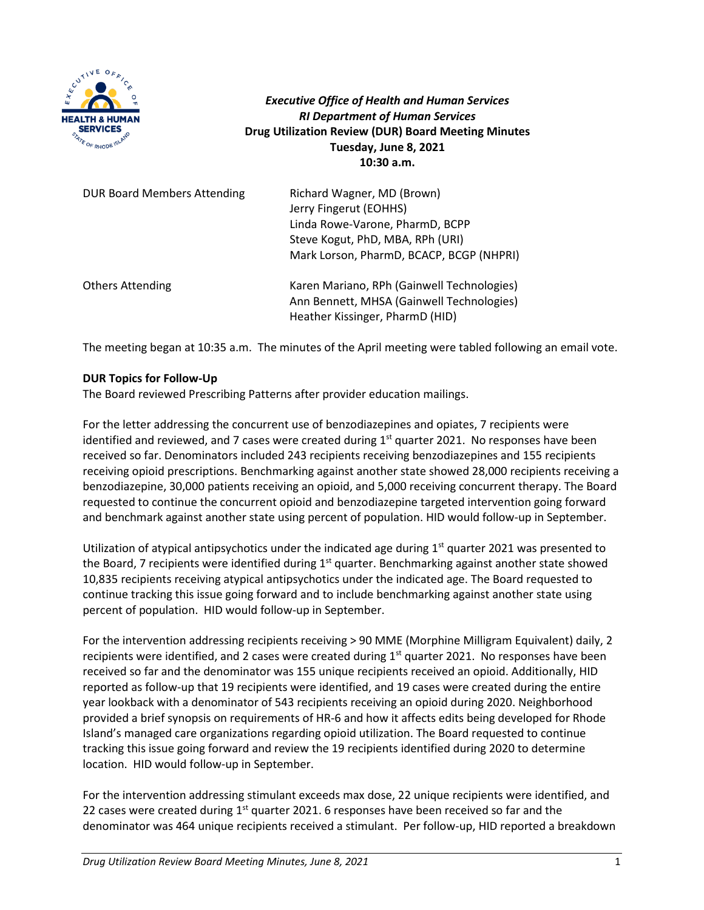

*Executive Office of Health and Human Services RI Department of Human Services* **Drug Utilization Review (DUR) Board Meeting Minutes Tuesday, June 8, 2021 10:30 a.m.**

| <b>DUR Board Members Attending</b> | Richard Wagner, MD (Brown)<br>Jerry Fingerut (EOHHS)<br>Linda Rowe-Varone, PharmD, BCPP<br>Steve Kogut, PhD, MBA, RPh (URI)<br>Mark Lorson, PharmD, BCACP, BCGP (NHPRI) |
|------------------------------------|-------------------------------------------------------------------------------------------------------------------------------------------------------------------------|
| <b>Others Attending</b>            | Karen Mariano, RPh (Gainwell Technologies)<br>Ann Bennett, MHSA (Gainwell Technologies)<br>Heather Kissinger, PharmD (HID)                                              |

The meeting began at 10:35 a.m. The minutes of the April meeting were tabled following an email vote.

### **DUR Topics for Follow-Up**

The Board reviewed Prescribing Patterns after provider education mailings.

For the letter addressing the concurrent use of benzodiazepines and opiates, 7 recipients were identified and reviewed, and 7 cases were created during  $1<sup>st</sup>$  quarter 2021. No responses have been received so far. Denominators included 243 recipients receiving benzodiazepines and 155 recipients receiving opioid prescriptions. Benchmarking against another state showed 28,000 recipients receiving a benzodiazepine, 30,000 patients receiving an opioid, and 5,000 receiving concurrent therapy. The Board requested to continue the concurrent opioid and benzodiazepine targeted intervention going forward and benchmark against another state using percent of population. HID would follow-up in September.

Utilization of atypical antipsychotics under the indicated age during  $1<sup>st</sup>$  quarter 2021 was presented to the Board, 7 recipients were identified during  $1<sup>st</sup>$  quarter. Benchmarking against another state showed 10,835 recipients receiving atypical antipsychotics under the indicated age. The Board requested to continue tracking this issue going forward and to include benchmarking against another state using percent of population. HID would follow-up in September.

For the intervention addressing recipients receiving > 90 MME (Morphine Milligram Equivalent) daily, 2 recipients were identified, and 2 cases were created during  $1<sup>st</sup>$  quarter 2021. No responses have been received so far and the denominator was 155 unique recipients received an opioid. Additionally, HID reported as follow-up that 19 recipients were identified, and 19 cases were created during the entire year lookback with a denominator of 543 recipients receiving an opioid during 2020. Neighborhood provided a brief synopsis on requirements of HR-6 and how it affects edits being developed for Rhode Island's managed care organizations regarding opioid utilization. The Board requested to continue tracking this issue going forward and review the 19 recipients identified during 2020 to determine location. HID would follow-up in September.

For the intervention addressing stimulant exceeds max dose, 22 unique recipients were identified, and 22 cases were created during  $1<sup>st</sup>$  quarter 2021. 6 responses have been received so far and the denominator was 464 unique recipients received a stimulant. Per follow-up, HID reported a breakdown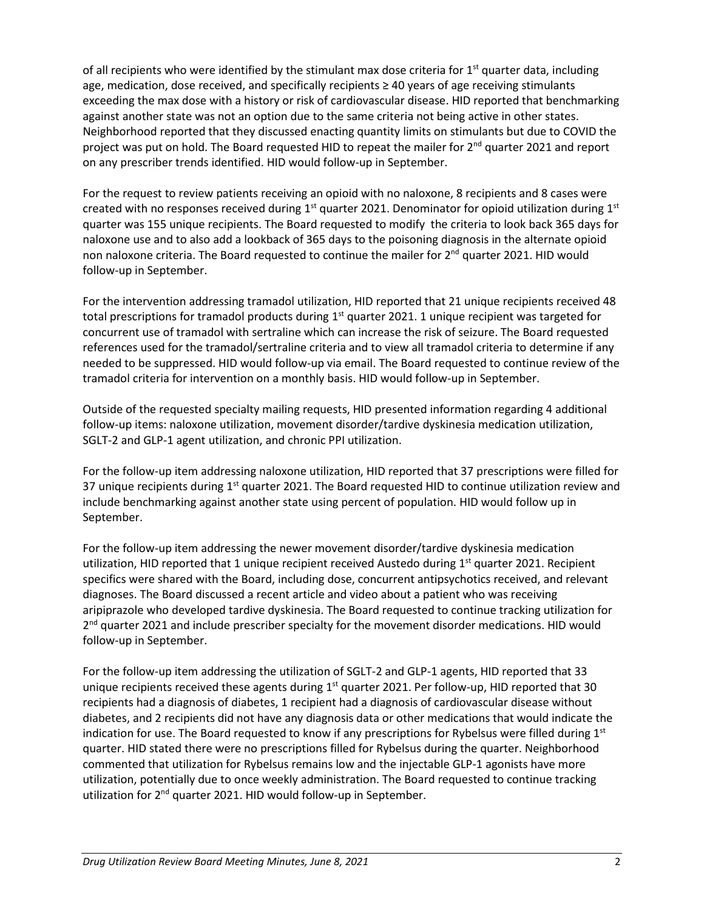of all recipients who were identified by the stimulant max dose criteria for 1<sup>st</sup> quarter data, including age, medication, dose received, and specifically recipients ≥ 40 years of age receiving stimulants exceeding the max dose with a history or risk of cardiovascular disease. HID reported that benchmarking against another state was not an option due to the same criteria not being active in other states. Neighborhood reported that they discussed enacting quantity limits on stimulants but due to COVID the project was put on hold. The Board requested HID to repeat the mailer for 2<sup>nd</sup> quarter 2021 and report on any prescriber trends identified. HID would follow-up in September.

For the request to review patients receiving an opioid with no naloxone, 8 recipients and 8 cases were created with no responses received during  $1<sup>st</sup>$  quarter 2021. Denominator for opioid utilization during  $1<sup>st</sup>$ quarter was 155 unique recipients. The Board requested to modify the criteria to look back 365 days for naloxone use and to also add a lookback of 365 days to the poisoning diagnosis in the alternate opioid non naloxone criteria. The Board requested to continue the mailer for 2<sup>nd</sup> quarter 2021. HID would follow-up in September.

For the intervention addressing tramadol utilization, HID reported that 21 unique recipients received 48 total prescriptions for tramadol products during 1<sup>st</sup> quarter 2021. 1 unique recipient was targeted for concurrent use of tramadol with sertraline which can increase the risk of seizure. The Board requested references used for the tramadol/sertraline criteria and to view all tramadol criteria to determine if any needed to be suppressed. HID would follow-up via email. The Board requested to continue review of the tramadol criteria for intervention on a monthly basis. HID would follow-up in September.

Outside of the requested specialty mailing requests, HID presented information regarding 4 additional follow-up items: naloxone utilization, movement disorder/tardive dyskinesia medication utilization, SGLT-2 and GLP-1 agent utilization, and chronic PPI utilization.

For the follow-up item addressing naloxone utilization, HID reported that 37 prescriptions were filled for 37 unique recipients during  $1<sup>st</sup>$  quarter 2021. The Board requested HID to continue utilization review and include benchmarking against another state using percent of population. HID would follow up in September.

For the follow-up item addressing the newer movement disorder/tardive dyskinesia medication utilization, HID reported that 1 unique recipient received Austedo during  $1<sup>st</sup>$  quarter 2021. Recipient specifics were shared with the Board, including dose, concurrent antipsychotics received, and relevant diagnoses. The Board discussed a recent article and video about a patient who was receiving aripiprazole who developed tardive dyskinesia. The Board requested to continue tracking utilization for  $2<sup>nd</sup>$  quarter 2021 and include prescriber specialty for the movement disorder medications. HID would follow-up in September.

For the follow-up item addressing the utilization of SGLT-2 and GLP-1 agents, HID reported that 33 unique recipients received these agents during 1<sup>st</sup> quarter 2021. Per follow-up, HID reported that 30 recipients had a diagnosis of diabetes, 1 recipient had a diagnosis of cardiovascular disease without diabetes, and 2 recipients did not have any diagnosis data or other medications that would indicate the indication for use. The Board requested to know if any prescriptions for Rybelsus were filled during  $1<sup>st</sup>$ quarter. HID stated there were no prescriptions filled for Rybelsus during the quarter. Neighborhood commented that utilization for Rybelsus remains low and the injectable GLP-1 agonists have more utilization, potentially due to once weekly administration. The Board requested to continue tracking utilization for 2<sup>nd</sup> quarter 2021. HID would follow-up in September.